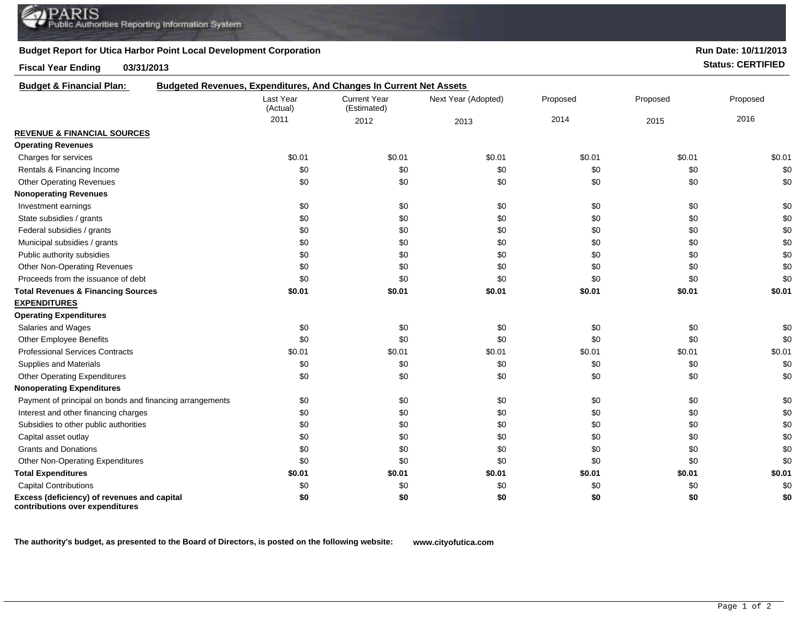## **Budget Report for Utica Harbor Point Local Development Corporation**

## **Fiscal Year Ending 03/31/2013 Status: CERTIFIED**

**Run Date: 10/11/2013**

| <b>Budget &amp; Financial Plan:</b>                                            | <b>Budgeted Revenues, Expenditures, And Changes In Current Net Assets</b> |                                    |                     |          |          |          |
|--------------------------------------------------------------------------------|---------------------------------------------------------------------------|------------------------------------|---------------------|----------|----------|----------|
|                                                                                | Last Year<br>(Actual)                                                     | <b>Current Year</b><br>(Estimated) | Next Year (Adopted) | Proposed | Proposed | Proposed |
|                                                                                | 2011                                                                      | 2012                               | 2013                | 2014     | 2015     | 2016     |
| <b>REVENUE &amp; FINANCIAL SOURCES</b>                                         |                                                                           |                                    |                     |          |          |          |
| <b>Operating Revenues</b>                                                      |                                                                           |                                    |                     |          |          |          |
| Charges for services                                                           | \$0.01                                                                    | \$0.01                             | \$0.01              | \$0.01   | \$0.01   | \$0.01   |
| Rentals & Financing Income                                                     | \$0                                                                       | \$0                                | \$0                 | \$0      | \$0      | \$0      |
| <b>Other Operating Revenues</b>                                                | \$0                                                                       | \$0                                | \$0                 | \$0      | \$0      | \$0      |
| <b>Nonoperating Revenues</b>                                                   |                                                                           |                                    |                     |          |          |          |
| Investment earnings                                                            | \$0                                                                       | \$0                                | \$0                 | \$0      | \$0      | \$0      |
| State subsidies / grants                                                       | \$0                                                                       | \$0                                | \$0                 | \$0      | \$0      | \$0      |
| Federal subsidies / grants                                                     | \$0                                                                       | \$0                                | \$0                 | \$0      | \$0      | \$0      |
| Municipal subsidies / grants                                                   | \$0                                                                       | \$0                                | \$0                 | \$0      | \$0      | \$0      |
| Public authority subsidies                                                     | \$0                                                                       | \$0                                | \$0                 | \$0      | \$0      | \$0      |
| <b>Other Non-Operating Revenues</b>                                            | \$0                                                                       | \$0                                | \$0                 | \$0      | \$0      | \$0      |
| Proceeds from the issuance of debt                                             | \$0                                                                       | \$0                                | \$0                 | \$0      | \$0      | \$0      |
| <b>Total Revenues &amp; Financing Sources</b>                                  | \$0.01                                                                    | \$0.01                             | \$0.01              | \$0.01   | \$0.01   | \$0.01   |
| <b>EXPENDITURES</b>                                                            |                                                                           |                                    |                     |          |          |          |
| <b>Operating Expenditures</b>                                                  |                                                                           |                                    |                     |          |          |          |
| Salaries and Wages                                                             | \$0                                                                       | \$0                                | \$0                 | \$0      | \$0      | \$0      |
| Other Employee Benefits                                                        | \$0                                                                       | \$0                                | \$0                 | \$0      | \$0      | \$0      |
| <b>Professional Services Contracts</b>                                         | \$0.01                                                                    | \$0.01                             | \$0.01              | \$0.01   | \$0.01   | \$0.01   |
| Supplies and Materials                                                         | \$0                                                                       | \$0                                | \$0                 | \$0      | \$0      | \$0      |
| <b>Other Operating Expenditures</b>                                            | \$0                                                                       | \$0                                | \$0                 | \$0      | \$0      | \$0      |
| <b>Nonoperating Expenditures</b>                                               |                                                                           |                                    |                     |          |          |          |
| Payment of principal on bonds and financing arrangements                       | \$0                                                                       | \$0                                | \$0                 | \$0      | \$0      | \$0      |
| Interest and other financing charges                                           | \$0                                                                       | \$0                                | \$0                 | \$0      | \$0      | \$0      |
| Subsidies to other public authorities                                          | \$0                                                                       | \$0                                | \$0                 | \$0      | \$0      | \$0      |
| Capital asset outlay                                                           | \$0                                                                       | \$0                                | \$0                 | \$0      | \$0      | \$0      |
| <b>Grants and Donations</b>                                                    | \$0                                                                       | \$0                                | \$0                 | \$0      | \$0      | \$0      |
| Other Non-Operating Expenditures                                               | \$0                                                                       | \$0                                | \$0                 | \$0      | \$0      | \$0      |
| <b>Total Expenditures</b>                                                      | \$0.01                                                                    | \$0.01                             | \$0.01              | \$0.01   | \$0.01   | \$0.01   |
| <b>Capital Contributions</b>                                                   | \$0                                                                       | \$0                                | \$0                 | \$0      | \$0      | \$0      |
| Excess (deficiency) of revenues and capital<br>contributions over expenditures | \$0                                                                       | \$0                                | \$0                 | \$0      | \$0      | \$0      |

**The authority's budget, as presented to the Board of Directors, is posted on the following website: www.cityofutica.com**